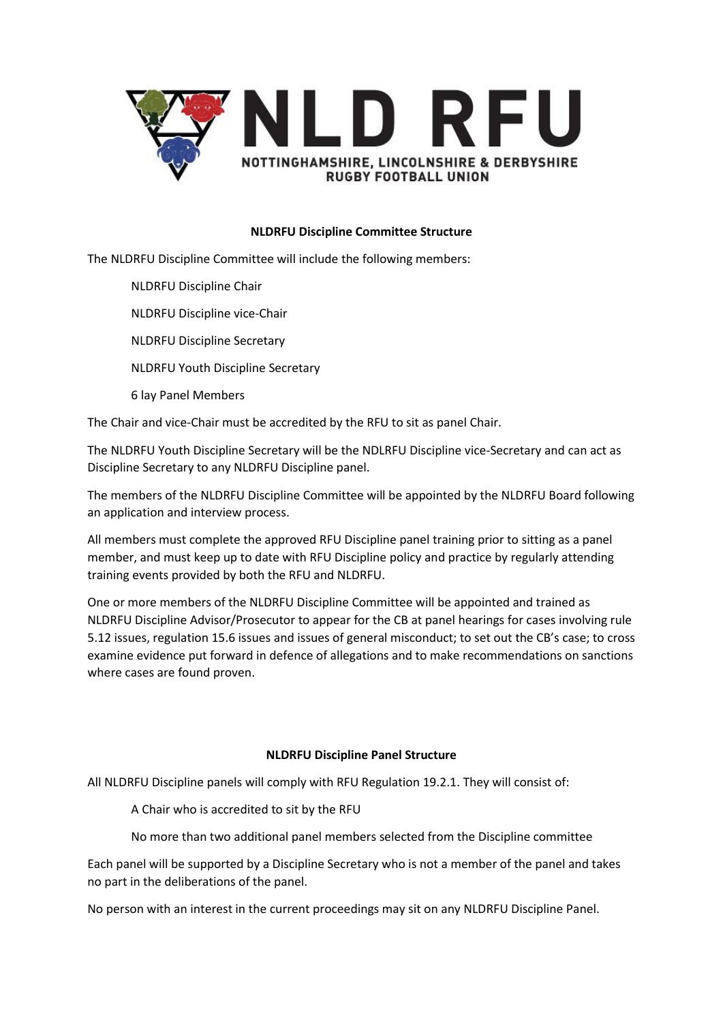

## **NLDRFU Discipline Committee Structure**

The NLDRFU Discipline Committee will include the following members:

NLDRFU Discipline Chair NLDRFU Discipline vice-Chair NLDRFU Discipline Secretary NLDRFU Youth Discipline Secretary 6 lay Panel Members

The Chair and vice-Chair must be accredited by the RFU to sit as panel Chair.

The NLDRFU Youth Discipline Secretary will be the NDLRFU Discipline vice-Secretary and can act as Discipline Secretary to any NLDRFU Discipline panel.

The members of the NLDRFU Discipline Committee will be appointed by the NLDRFU Board following an application and interview process.

All members must complete the approved RFU Discipline panel training prior to sitting as a panel member, and must keep up to date with RFU Discipline policy and practice by regularly attending training events provided by both the RFU and NLDRFU.

One or more members of the NLDRFU Discipline Committee will be appointed and trained as NLDRFU Discipline Advisor/Prosecutor to appear for the CB at panel hearings for cases involving rule 5.12 issues, regulation 15.6 issues and issues of general misconduct; to set out the CB's case; to cross examine evidence put forward in defence of allegations and to make recommendations on sanctions where cases are found proven.

## **NLDRFU Discipline Panel Structure**

All NLDRFU Discipline panels will comply with RFU Regulation 19.2.1. They will consist of:

A Chair who is accredited to sit by the RFU

No more than two additional panel members selected from the Discipline committee

Each panel will be supported by a Discipline Secretary who is not a member of the panel and takes no part in the deliberations of the panel.

No person with an interest in the current proceedings may sit on any NLDRFU Discipline Panel.